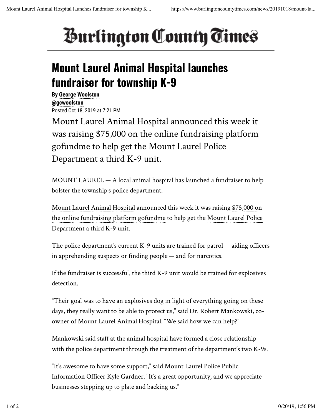## *<u>Burlington County Times</u>*

## **Mount Laurel Animal Hospital launches fundraiser for township K-9**

**By George Woolston @gcwoolston** Posted Oct 18, 2019 at 7:21 PM

Mount Laurel Animal Hospital announced this week it was raising \$75,000 on the online fundraising platform gofundme to help get the Mount Laurel Police Department a third K-9 unit.

MOUNT LAUREL — A local animal hospital has launched a fundraiser to help bolster the township's police department.

Mount Laurel Animal Hospital announced this week it was raising \$75,000 on the online fundraising platform gofundme to help get the Mount Laurel Police Department a third K-9 unit.

The police department's current K-9 units are trained for patrol — aiding officers in apprehending suspects or finding people — and for narcotics.

If the fundraiser is successful, the third K-9 unit would be trained for explosives detection.

"Their goal was to have an explosives dog in light of everything going on these days, they really want to be able to protect us," said Dr. Robert Mankowski, coowner of Mount Laurel Animal Hospital. "We said how we can help?"

Mankowski said staff at the animal hospital have formed a close relationship with the police department through the treatment of the department's two K-9s.

"It's awesome to have some support," said Mount Laurel Police Public Information Officer Kyle Gardner. "It's a great opportunity, and we appreciate businesses stepping up to plate and backing us."